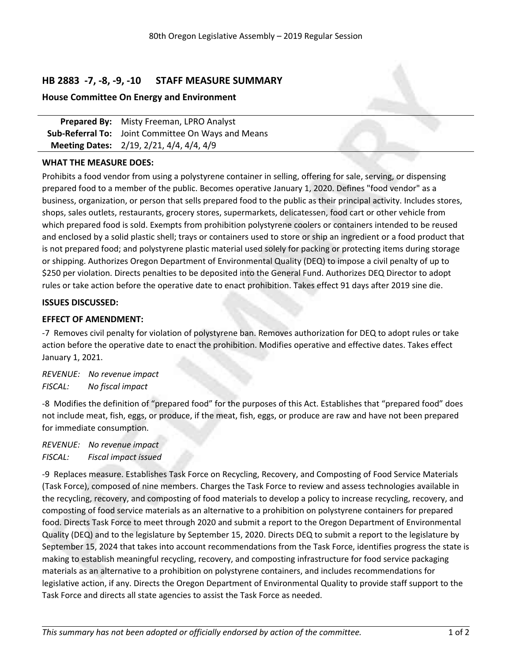# **HB 2883 -7, -8, -9, -10 STAFF MEASURE SUMMARY**

### **House Committee On Energy and Environment**

**Prepared By:** Misty Freeman, LPRO Analyst **Sub-Referral To:** Joint Committee On Ways and Means **Meeting Dates:** 2/19, 2/21, 4/4, 4/4, 4/9

### **WHAT THE MEASURE DOES:**

Prohibits <sup>a</sup> food vendor from using <sup>a</sup> polystyrene container in selling, offering for sale, serving, or dispensing prepared food to <sup>a</sup> member of the public. Becomes operative January 1, 2020. Defines "food vendor" as <sup>a</sup> business, organization, or person that sells prepared food to the public as their principal activity. Includes stores, shops, sales outlets, restaurants, grocery stores, supermarkets, delicatessen, food cart or other vehicle from which prepared food is sold. Exempts from prohibition polystyrene coolers or containers intended to be reused and enclosed by <sup>a</sup> solid plastic shell; trays or containers used to store or ship an ingredient or <sup>a</sup> food product that is not prepared food; and polystyrene plastic material used solely for packing or protecting items during storage or shipping. Authorizes Oregon Department of Environmental Quality (DEQ) to impose <sup>a</sup> civil penalty of up to \$250 per violation. Directs penalties to be deposited into the General Fund. Authorizes DEQ Director to adopt rules or take action before the operative date to enact prohibition. Takes effect 91 days after 2019 sine die.

#### **ISSUES DISCUSSED:**

### **EFFECT OF AMENDMENT:**

-7 Removes civil penalty for violation of polystyrene ban. Removes authorization for DEQ to adopt rules or take action before the operative date to enact the prohibition. Modifies operative and effective dates. Takes effect January 1, 2021.

*REVENUE: No revenue impact FISCAL: No fiscal impact*

-8 Modifies the definition of "prepared food" for the purposes of this Act. Establishes that "prepared food" does not include meat, fish, eggs, or produce, if the meat, fish, eggs, or produce are raw and have not been prepared for immediate consumption.

*REVENUE: No revenue impact FISCAL: Fiscal impact issued*

-9 Replaces measure. Establishes Task Force on Recycling, Recovery, and Composting of Food Service Materials (Task Force), composed of nine members. Charges the Task Force to review and assess technologies available in the recycling, recovery, and composting of food materials to develop <sup>a</sup> policy to increase recycling, recovery, and composting of food service materials as an alternative to <sup>a</sup> prohibition on polystyrene containers for prepared food. Directs Task Force to meet through 2020 and submit <sup>a</sup> report to the Oregon Department of Environmental Quality (DEQ) and to the legislature by September 15, 2020. Directs DEQ to submit <sup>a</sup> report to the legislature by September 15, 2024 that takes into account recommendations from the Task Force, identifies progress the state is making to establish meaningful recycling, recovery, and composting infrastructure for food service packaging materials as an alternative to <sup>a</sup> prohibition on polystyrene containers, and includes recommendations for legislative action, if any. Directs the Oregon Department of Environmental Quality to provide staff support to the Task Force and directs all state agencies to assist the Task Force as needed.